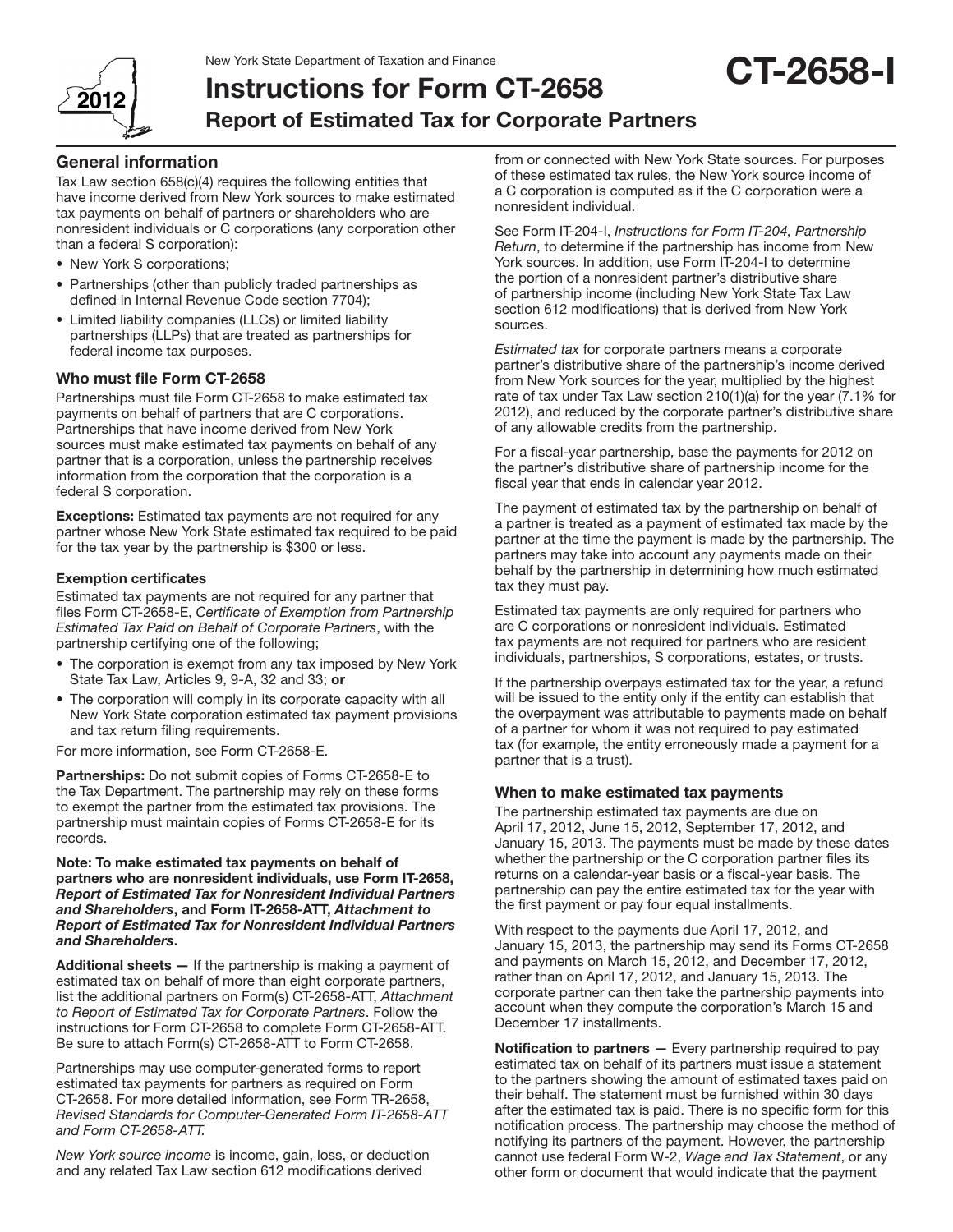

# Instructions for Form CT-2658 Report of Estimated Tax for Corporate Partners

## General information

Tax Law section 658(c)(4) requires the following entities that have income derived from New York sources to make estimated tax payments on behalf of partners or shareholders who are nonresident individuals or C corporations (any corporation other than a federal S corporation):

- New York S corporations;
- Partnerships (other than publicly traded partnerships as defined in Internal Revenue Code section 7704);
- • Limited liability companies (LLCs) or limited liability partnerships (LLPs) that are treated as partnerships for federal income tax purposes.

## Who must file Form CT-2658

Partnerships must file Form CT-2658 to make estimated tax payments on behalf of partners that are C corporations. Partnerships that have income derived from New York sources must make estimated tax payments on behalf of any partner that is a corporation, unless the partnership receives information from the corporation that the corporation is a federal S corporation.

**Exceptions:** Estimated tax payments are not required for any partner whose New York State estimated tax required to be paid for the tax year by the partnership is \$300 or less.

## Exemption certificates

Estimated tax payments are not required for any partner that files Form CT-2658-E, *Certificate of Exemption from Partnership Estimated Tax Paid on Behalf of Corporate Partners*, with the partnership certifying one of the following;

- The corporation is exempt from any tax imposed by New York State Tax Law, Articles 9, 9-A, 32 and 33; or
- The corporation will comply in its corporate capacity with all New York State corporation estimated tax payment provisions and tax return filing requirements.

For more information, see Form CT-2658-E.

Partnerships: Do not submit copies of Forms CT-2658-E to the Tax Department. The partnership may rely on these forms to exempt the partner from the estimated tax provisions. The partnership must maintain copies of Forms CT-2658-E for its records.

#### Note: To make estimated tax payments on behalf of partners who are nonresident individuals, use Form IT-2658, *Report of Estimated Tax for Nonresident Individual Partners and Shareholders*, and Form IT-2658-ATT, *Attachment to Report of Estimated Tax for Nonresident Individual Partners and Shareholders*.

Additional sheets — If the partnership is making a payment of estimated tax on behalf of more than eight corporate partners, list the additional partners on Form(s) CT-2658-ATT, *Attachment to Report of Estimated Tax for Corporate Partners*. Follow the instructions for Form CT-2658 to complete Form CT-2658-ATT. Be sure to attach Form(s) CT-2658-ATT to Form CT-2658.

Partnerships may use computer-generated forms to report estimated tax payments for partners as required on Form CT-2658. For more detailed information, see Form TR-2658, *Revised Standards for Computer-Generated Form IT-2658-ATT and Form CT-2658-ATT.*

*New York source income* is income, gain, loss, or deduction and any related Tax Law section 612 modifications derived

from or connected with New York State sources. For purposes of these estimated tax rules, the New York source income of a C corporation is computed as if the C corporation were a nonresident individual.

CT-2658-I

See Form IT-204-I, *Instructions for Form IT-204, Partnership Return*, to determine if the partnership has income from New York sources. In addition, use Form IT-204-I to determine the portion of a nonresident partner's distributive share of partnership income (including New York State Tax Law section 612 modifications) that is derived from New York sources.

*Estimated tax* for corporate partners means a corporate partner's distributive share of the partnership's income derived from New York sources for the year, multiplied by the highest rate of tax under Tax Law section 210(1)(a) for the year (7.1% for 2012), and reduced by the corporate partner's distributive share of any allowable credits from the partnership.

For a fiscal-year partnership, base the payments for 2012 on the partner's distributive share of partnership income for the fiscal year that ends in calendar year 2012.

The payment of estimated tax by the partnership on behalf of a partner is treated as a payment of estimated tax made by the partner at the time the payment is made by the partnership. The partners may take into account any payments made on their behalf by the partnership in determining how much estimated tax they must pay.

Estimated tax payments are only required for partners who are C corporations or nonresident individuals. Estimated tax payments are not required for partners who are resident individuals, partnerships, S corporations, estates, or trusts.

If the partnership overpays estimated tax for the year, a refund will be issued to the entity only if the entity can establish that the overpayment was attributable to payments made on behalf of a partner for whom it was not required to pay estimated tax (for example, the entity erroneously made a payment for a partner that is a trust).

## When to make estimated tax payments

The partnership estimated tax payments are due on April 17, 2012, June 15, 2012, September 17, 2012, and January 15, 2013. The payments must be made by these dates whether the partnership or the C corporation partner files its returns on a calendar-year basis or a fiscal-year basis. The partnership can pay the entire estimated tax for the year with the first payment or pay four equal installments.

With respect to the payments due April 17, 2012, and January 15, 2013, the partnership may send its Forms CT‑2658 and payments on March 15, 2012, and December 17, 2012, rather than on April 17, 2012, and January 15, 2013. The corporate partner can then take the partnership payments into account when they compute the corporation's March 15 and December 17 installments.

Notification to partners - Every partnership required to pay estimated tax on behalf of its partners must issue a statement to the partners showing the amount of estimated taxes paid on their behalf. The statement must be furnished within 30 days after the estimated tax is paid. There is no specific form for this notification process. The partnership may choose the method of notifying its partners of the payment. However, the partnership cannot use federal Form W-2, *Wage and Tax Statement*, or any other form or document that would indicate that the payment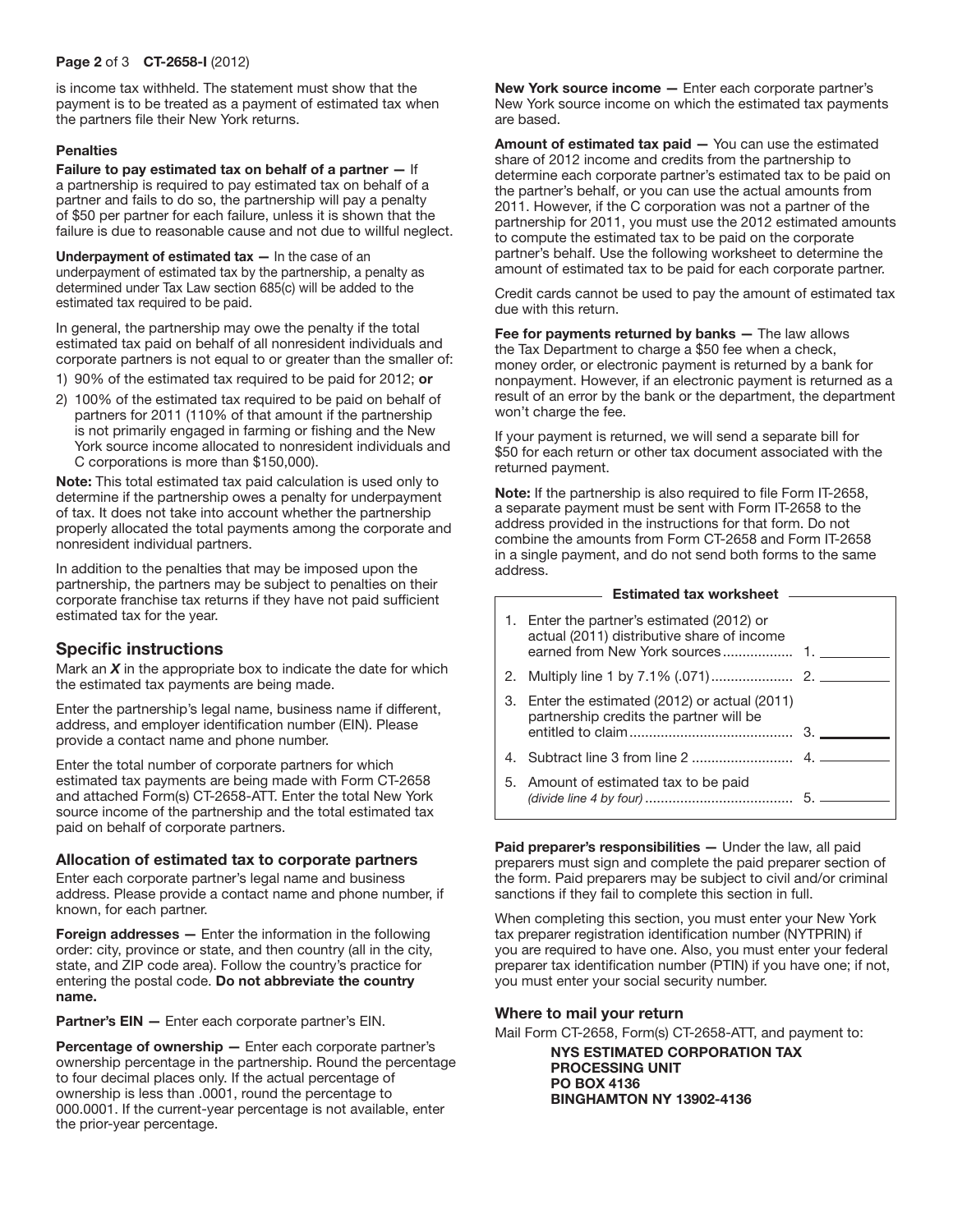### Page 2 of 3 CT-2658-I (2012)

is income tax withheld. The statement must show that the payment is to be treated as a payment of estimated tax when the partners file their New York returns.

### **Penalties**

Failure to pay estimated tax on behalf of a partner - If a partnership is required to pay estimated tax on behalf of a partner and fails to do so, the partnership will pay a penalty of \$50 per partner for each failure, unless it is shown that the failure is due to reasonable cause and not due to willful neglect.

Underpayment of estimated  $tax - ln$  the case of an underpayment of estimated tax by the partnership, a penalty as determined under Tax Law section 685(c) will be added to the estimated tax required to be paid.

In general, the partnership may owe the penalty if the total estimated tax paid on behalf of all nonresident individuals and corporate partners is not equal to or greater than the smaller of:

- 1)  $90\%$  of the estimated tax required to be paid for 2012; or
- 2) 100% of the estimated tax required to be paid on behalf of partners for 2011 (110% of that amount if the partnership is not primarily engaged in farming or fishing and the New York source income allocated to nonresident individuals and C corporations is more than \$150,000).

Note: This total estimated tax paid calculation is used only to determine if the partnership owes a penalty for underpayment of tax. It does not take into account whether the partnership properly allocated the total payments among the corporate and nonresident individual partners.

In addition to the penalties that may be imposed upon the partnership, the partners may be subject to penalties on their corporate franchise tax returns if they have not paid sufficient estimated tax for the year.

## Specific instructions

Mark an *X* in the appropriate box to indicate the date for which the estimated tax payments are being made.

Enter the partnership's legal name, business name if different, address, and employer identification number (EIN). Please provide a contact name and phone number.

Enter the total number of corporate partners for which estimated tax payments are being made with Form CT-2658 and attached Form(s) CT-2658-ATT. Enter the total New York source income of the partnership and the total estimated tax paid on behalf of corporate partners.

## Allocation of estimated tax to corporate partners

Enter each corporate partner's legal name and business address. Please provide a contact name and phone number, if known, for each partner.

Foreign addresses — Enter the information in the following order: city, province or state, and then country (all in the city, state, and ZIP code area). Follow the country's practice for entering the postal code. Do not abbreviate the country name.

Partner's EIN - Enter each corporate partner's EIN.

Percentage of ownership — Enter each corporate partner's ownership percentage in the partnership. Round the percentage to four decimal places only. If the actual percentage of ownership is less than .0001, round the percentage to 000.0001. If the current-year percentage is not available, enter the prior-year percentage.

New York source income — Enter each corporate partner's New York source income on which the estimated tax payments are based.

Amount of estimated tax paid — You can use the estimated share of 2012 income and credits from the partnership to determine each corporate partner's estimated tax to be paid on the partner's behalf, or you can use the actual amounts from 2011. However, if the C corporation was not a partner of the partnership for 2011, you must use the 2012 estimated amounts to compute the estimated tax to be paid on the corporate partner's behalf. Use the following worksheet to determine the amount of estimated tax to be paid for each corporate partner.

Credit cards cannot be used to pay the amount of estimated tax due with this return.

Fee for payments returned by banks - The law allows the Tax Department to charge a \$50 fee when a check, money order, or electronic payment is returned by a bank for nonpayment. However, if an electronic payment is returned as a result of an error by the bank or the department, the department won't charge the fee.

If your payment is returned, we will send a separate bill for \$50 for each return or other tax document associated with the returned payment.

Note: If the partnership is also required to file Form IT-2658, a separate payment must be sent with Form IT-2658 to the address provided in the instructions for that form. Do not combine the amounts from Form CT-2658 and Form IT-2658 in a single payment, and do not send both forms to the same address.

#### **Estimated tax worksheet**

| 1. Enter the partner's estimated (2012) or<br>actual (2011) distributive share of income  |                |
|-------------------------------------------------------------------------------------------|----------------|
|                                                                                           |                |
| 3. Enter the estimated (2012) or actual (2011)<br>partnership credits the partner will be | 3 <sub>z</sub> |
|                                                                                           |                |
| 5. Amount of estimated tax to be paid                                                     |                |

Paid preparer's responsibilities - Under the law, all paid preparers must sign and complete the paid preparer section of the form. Paid preparers may be subject to civil and/or criminal sanctions if they fail to complete this section in full.

When completing this section, you must enter your New York tax preparer registration identification number (NYTPRIN) if you are required to have one. Also, you must enter your federal preparer tax identification number (PTIN) if you have one; if not, you must enter your social security number.

## Where to mail your return

Mail Form CT-2658, Form(s) CT-2658-ATT, and payment to:

NYS ESTIMATED CORPORATION TAX PROCESSING UNIT PO BOX 4136 BINGHAMTON NY 13902-4136